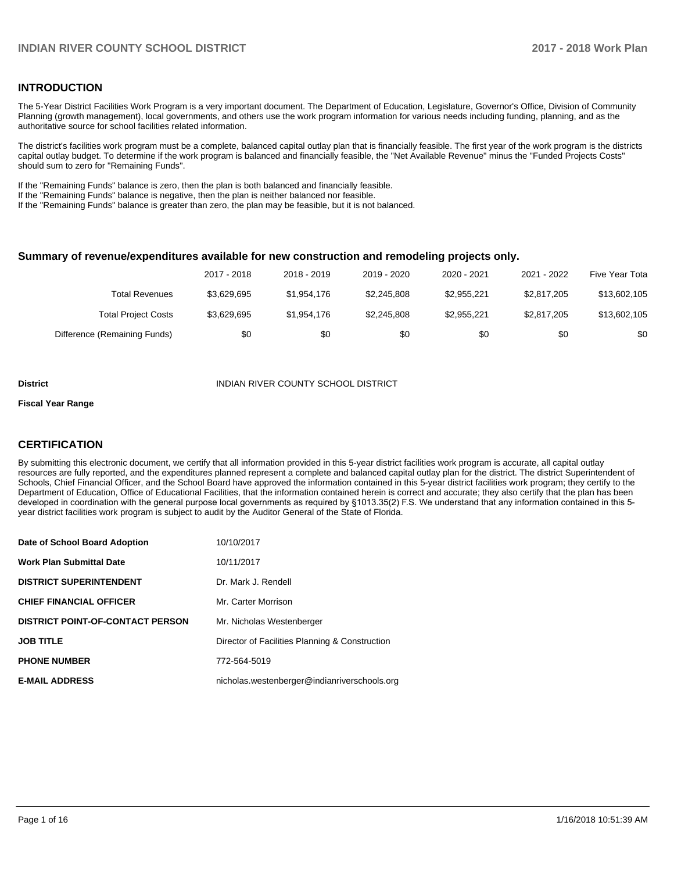### **INTRODUCTION**

The 5-Year District Facilities Work Program is a very important document. The Department of Education, Legislature, Governor's Office, Division of Community Planning (growth management), local governments, and others use the work program information for various needs including funding, planning, and as the authoritative source for school facilities related information.

The district's facilities work program must be a complete, balanced capital outlay plan that is financially feasible. The first year of the work program is the districts capital outlay budget. To determine if the work program is balanced and financially feasible, the "Net Available Revenue" minus the "Funded Projects Costs" should sum to zero for "Remaining Funds".

If the "Remaining Funds" balance is zero, then the plan is both balanced and financially feasible.

If the "Remaining Funds" balance is negative, then the plan is neither balanced nor feasible.

If the "Remaining Funds" balance is greater than zero, the plan may be feasible, but it is not balanced.

#### **Summary of revenue/expenditures available for new construction and remodeling projects only.**

|                              | 2017 - 2018 | 2018 - 2019 | 2019 - 2020 | 2020 - 2021 | 2021 - 2022 | Five Year Tota |
|------------------------------|-------------|-------------|-------------|-------------|-------------|----------------|
| Total Revenues               | \$3.629.695 | \$1.954.176 | \$2,245,808 | \$2.955.221 | \$2,817,205 | \$13,602,105   |
| <b>Total Project Costs</b>   | \$3,629,695 | \$1,954,176 | \$2,245,808 | \$2.955.221 | \$2,817,205 | \$13,602,105   |
| Difference (Remaining Funds) | \$0         | \$0         | \$0         | \$0         | \$0         | \$0            |

#### **District INDIAN RIVER COUNTY SCHOOL DISTRICT**

#### **Fiscal Year Range**

## **CERTIFICATION**

By submitting this electronic document, we certify that all information provided in this 5-year district facilities work program is accurate, all capital outlay resources are fully reported, and the expenditures planned represent a complete and balanced capital outlay plan for the district. The district Superintendent of Schools, Chief Financial Officer, and the School Board have approved the information contained in this 5-year district facilities work program; they certify to the Department of Education, Office of Educational Facilities, that the information contained herein is correct and accurate; they also certify that the plan has been developed in coordination with the general purpose local governments as required by §1013.35(2) F.S. We understand that any information contained in this 5year district facilities work program is subject to audit by the Auditor General of the State of Florida.

| Date of School Board Adoption           | 10/10/2017                                     |
|-----------------------------------------|------------------------------------------------|
| <b>Work Plan Submittal Date</b>         | 10/11/2017                                     |
| <b>DISTRICT SUPERINTENDENT</b>          | Dr. Mark J. Rendell                            |
| <b>CHIEF FINANCIAL OFFICER</b>          | Mr. Carter Morrison                            |
| <b>DISTRICT POINT-OF-CONTACT PERSON</b> | Mr. Nicholas Westenberger                      |
| <b>JOB TITLE</b>                        | Director of Facilities Planning & Construction |
| <b>PHONE NUMBER</b>                     | 772-564-5019                                   |
| <b>E-MAIL ADDRESS</b>                   | nicholas.westenberger@indianriverschools.org   |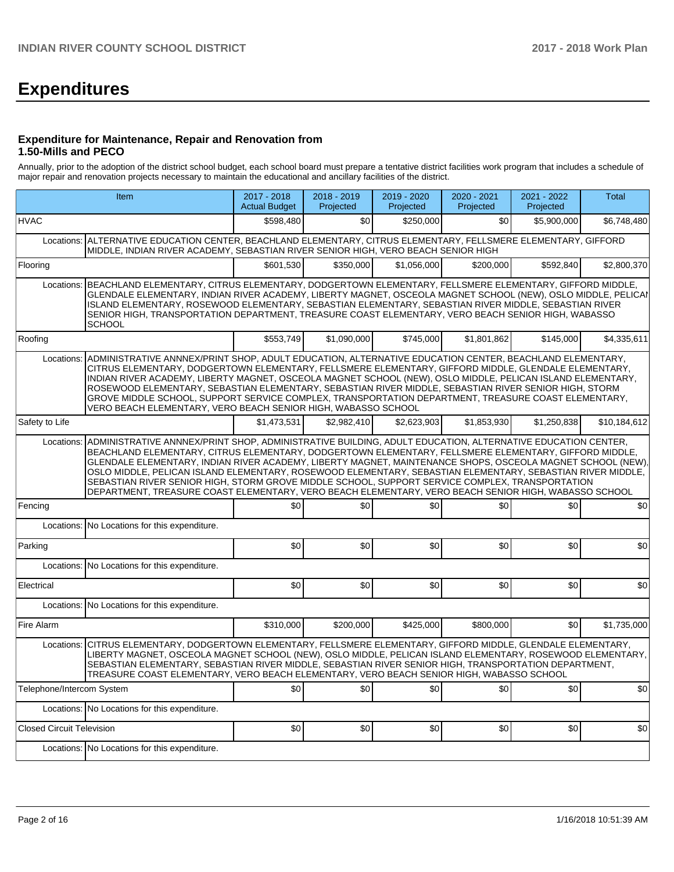# **Expenditures**

#### **Expenditure for Maintenance, Repair and Renovation from 1.50-Mills and PECO**

Annually, prior to the adoption of the district school budget, each school board must prepare a tentative district facilities work program that includes a schedule of major repair and renovation projects necessary to maintain the educational and ancillary facilities of the district.

|                                  | Item                                                                                                                                                                                                                                                                                                                                                                                                                                                                                                                                                                                                                                                      |             | 2018 - 2019<br>Projected | 2019 - 2020<br>Projected | 2020 - 2021<br>Projected | 2021 - 2022<br>Projected | <b>Total</b> |  |  |  |
|----------------------------------|-----------------------------------------------------------------------------------------------------------------------------------------------------------------------------------------------------------------------------------------------------------------------------------------------------------------------------------------------------------------------------------------------------------------------------------------------------------------------------------------------------------------------------------------------------------------------------------------------------------------------------------------------------------|-------------|--------------------------|--------------------------|--------------------------|--------------------------|--------------|--|--|--|
| <b>HVAC</b>                      |                                                                                                                                                                                                                                                                                                                                                                                                                                                                                                                                                                                                                                                           | \$598.480   | \$0                      | \$250,000                | \$0                      | \$5,900,000              | \$6,748,480  |  |  |  |
| Locations:                       | ALTERNATIVE EDUCATION CENTER, BEACHLAND ELEMENTARY, CITRUS ELEMENTARY, FELLSMERE ELEMENTARY, GIFFORD<br>MIDDLE, INDIAN RIVER ACADEMY, SEBASTIAN RIVER SENIOR HIGH, VERO BEACH SENIOR HIGH                                                                                                                                                                                                                                                                                                                                                                                                                                                                 |             |                          |                          |                          |                          |              |  |  |  |
| Flooring                         |                                                                                                                                                                                                                                                                                                                                                                                                                                                                                                                                                                                                                                                           | \$601.530   | \$350.000                | \$1.056.000              | \$200.000                | \$592.840                | \$2,800,370  |  |  |  |
| Locations:                       | BEACHLAND ELEMENTARY, CITRUS ELEMENTARY, DODGERTOWN ELEMENTARY, FELLSMERE ELEMENTARY, GIFFORD MIDDLE,<br>GLENDALE ELEMENTARY, INDIAN RIVER ACADEMY, LIBERTY MAGNET, OSCEOLA MAGNET SCHOOL (NEW), OSLO MIDDLE, PELICAN<br>ISLAND ELEMENTARY, ROSEWOOD ELEMENTARY, SEBASTIAN ELEMENTARY, SEBASTIAN RIVER MIDDLE, SEBASTIAN RIVER<br>SENIOR HIGH, TRANSPORTATION DEPARTMENT, TREASURE COAST ELEMENTARY, VERO BEACH SENIOR HIGH, WABASSO<br><b>SCHOOL</b>                                                                                                                                                                                                     |             |                          |                          |                          |                          |              |  |  |  |
| Roofing                          |                                                                                                                                                                                                                                                                                                                                                                                                                                                                                                                                                                                                                                                           | \$553,749   | \$1,090,000              | \$745,000                | \$1,801,862              | \$145,000                | \$4,335,611  |  |  |  |
| Locations:                       | ADMINISTRATIVE ANNNEX/PRINT SHOP, ADULT EDUCATION, ALTERNATIVE EDUCATION CENTER, BEACHLAND ELEMENTARY,<br>CITRUS ELEMENTARY, DODGERTOWN ELEMENTARY, FELLSMERE ELEMENTARY, GIFFORD MIDDLE, GLENDALE ELEMENTARY,<br>INDIAN RIVER ACADEMY, LIBERTY MAGNET, OSCEOLA MAGNET SCHOOL (NEW), OSLO MIDDLE, PELICAN ISLAND ELEMENTARY,<br>ROSEWOOD ELEMENTARY, SEBASTIAN ELEMENTARY, SEBASTIAN RIVER MIDDLE, SEBASTIAN RIVER SENIOR HIGH, STORM<br>GROVE MIDDLE SCHOOL, SUPPORT SERVICE COMPLEX, TRANSPORTATION DEPARTMENT, TREASURE COAST ELEMENTARY,<br>VERO BEACH ELEMENTARY, VERO BEACH SENIOR HIGH, WABASSO SCHOOL                                             |             |                          |                          |                          |                          |              |  |  |  |
| Safety to Life                   |                                                                                                                                                                                                                                                                                                                                                                                                                                                                                                                                                                                                                                                           | \$1,473,531 | \$2,982,410              | \$2,623,903              | \$1,853,930              | \$1,250,838              | \$10,184,612 |  |  |  |
| Locations:                       | ADMINISTRATIVE ANNNEX/PRINT SHOP, ADMINISTRATIVE BUILDING, ADULT EDUCATION, ALTERNATIVE EDUCATION CENTER,<br>BEACHLAND ELEMENTARY, CITRUS ELEMENTARY, DODGERTOWN ELEMENTARY, FELLSMERE ELEMENTARY, GIFFORD MIDDLE,<br>GLENDALE ELEMENTARY, INDIAN RIVER ACADEMY, LIBERTY MAGNET, MAINTENANCE SHOPS, OSCEOLA MAGNET SCHOOL (NEW),<br>OSLO MIDDLE, PELICAN ISLAND ELEMENTARY, ROSEWOOD ELEMENTARY, SEBASTIAN ELEMENTARY, SEBASTIAN RIVER MIDDLE,<br>SEBASTIAN RIVER SENIOR HIGH, STORM GROVE MIDDLE SCHOOL, SUPPORT SERVICE COMPLEX, TRANSPORTATION<br>DEPARTMENT, TREASURE COAST ELEMENTARY, VERO BEACH ELEMENTARY, VERO BEACH SENIOR HIGH, WABASSO SCHOOL |             |                          |                          |                          |                          |              |  |  |  |
| Fencing                          |                                                                                                                                                                                                                                                                                                                                                                                                                                                                                                                                                                                                                                                           | \$0         | \$0                      | \$0                      | \$0                      | \$0                      | \$0          |  |  |  |
|                                  | Locations: No Locations for this expenditure.                                                                                                                                                                                                                                                                                                                                                                                                                                                                                                                                                                                                             |             |                          |                          |                          |                          |              |  |  |  |
| Parking                          |                                                                                                                                                                                                                                                                                                                                                                                                                                                                                                                                                                                                                                                           | \$0         | \$0                      | \$0                      | \$0                      | \$0                      | \$0          |  |  |  |
|                                  | Locations: No Locations for this expenditure.                                                                                                                                                                                                                                                                                                                                                                                                                                                                                                                                                                                                             |             |                          |                          |                          |                          |              |  |  |  |
| Electrical                       |                                                                                                                                                                                                                                                                                                                                                                                                                                                                                                                                                                                                                                                           | \$0         | \$0                      | \$0                      | \$0                      | \$0                      | \$0          |  |  |  |
|                                  | Locations: No Locations for this expenditure.                                                                                                                                                                                                                                                                                                                                                                                                                                                                                                                                                                                                             |             |                          |                          |                          |                          |              |  |  |  |
| Fire Alarm                       |                                                                                                                                                                                                                                                                                                                                                                                                                                                                                                                                                                                                                                                           | \$310,000   | \$200,000                | \$425,000                | \$800,000                | \$0                      | \$1,735,000  |  |  |  |
| Locations:                       | CITRUS ELEMENTARY, DODGERTOWN ELEMENTARY, FELLSMERE ELEMENTARY, GIFFORD MIDDLE, GLENDALE ELEMENTARY,<br>LIBERTY MAGNET, OSCEOLA MAGNET SCHOOL (NEW), OSLO MIDDLE, PELICAN ISLAND ELEMENTARY, ROSEWOOD ELEMENTARY,<br>SEBASTIAN ELEMENTARY, SEBASTIAN RIVER MIDDLE, SEBASTIAN RIVER SENIOR HIGH, TRANSPORTATION DEPARTMENT,<br>TREASURE COAST ELEMENTARY, VERO BEACH ELEMENTARY, VERO BEACH SENIOR HIGH, WABASSO SCHOOL                                                                                                                                                                                                                                    |             |                          |                          |                          |                          |              |  |  |  |
| Telephone/Intercom System        |                                                                                                                                                                                                                                                                                                                                                                                                                                                                                                                                                                                                                                                           | \$0         | \$0                      | \$0                      | \$0                      | \$0                      | \$0          |  |  |  |
|                                  | Locations: No Locations for this expenditure.                                                                                                                                                                                                                                                                                                                                                                                                                                                                                                                                                                                                             |             |                          |                          |                          |                          |              |  |  |  |
| <b>Closed Circuit Television</b> |                                                                                                                                                                                                                                                                                                                                                                                                                                                                                                                                                                                                                                                           | \$0         | \$0                      | \$0                      | \$0                      | \$0                      | \$0          |  |  |  |
|                                  | Locations: No Locations for this expenditure.                                                                                                                                                                                                                                                                                                                                                                                                                                                                                                                                                                                                             |             |                          |                          |                          |                          |              |  |  |  |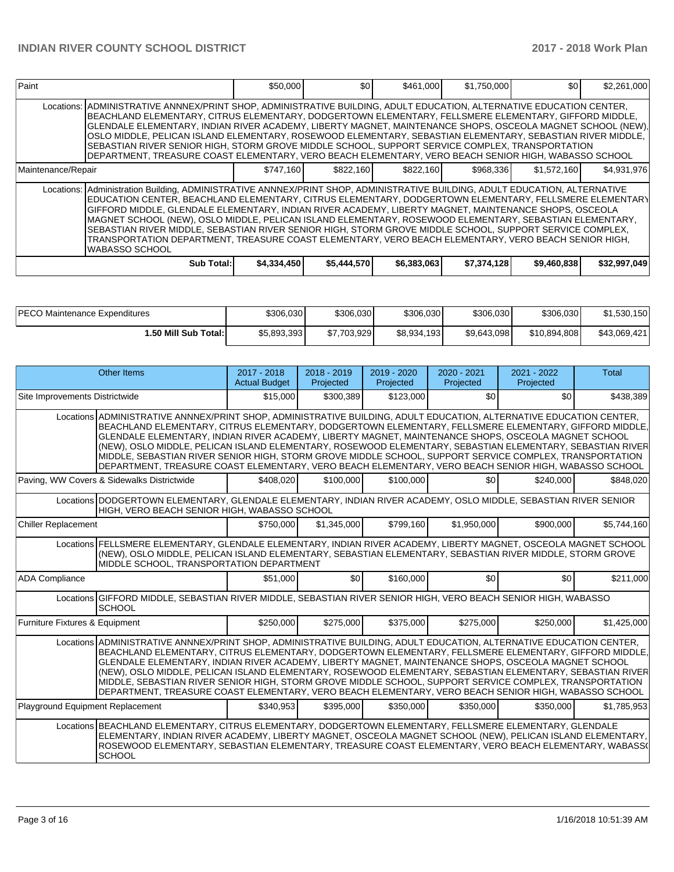| Paint              |                                                                                                                                                                                                                                                                                                                                                                                                                                                                                                                                                                                                                                                                                                          | \$50,000    | <b>\$01</b> | \$461,000   | \$1,750,000 | \$0         | \$2,261,000  |
|--------------------|----------------------------------------------------------------------------------------------------------------------------------------------------------------------------------------------------------------------------------------------------------------------------------------------------------------------------------------------------------------------------------------------------------------------------------------------------------------------------------------------------------------------------------------------------------------------------------------------------------------------------------------------------------------------------------------------------------|-------------|-------------|-------------|-------------|-------------|--------------|
|                    | Locations: ADMINISTRATIVE ANNNEX/PRINT SHOP, ADMINISTRATIVE BUILDING, ADULT EDUCATION, ALTERNATIVE EDUCATION CENTER,<br> BEACHLAND ELEMENTARY, CITRUS ELEMENTARY, DODGERTOWN ELEMENTARY, FELLSMERE ELEMENTARY, GIFFORD MIDDLE,<br>GLENDALE ELEMENTARY, INDIAN RIVER ACADEMY, LIBERTY MAGNET, MAINTENANCE SHOPS, OSCEOLA MAGNET SCHOOL (NEW),<br>OSLO MIDDLE, PELICAN ISLAND ELEMENTARY, ROSEWOOD ELEMENTARY, SEBASTIAN ELEMENTARY, SEBASTIAN RIVER MIDDLE,<br>SEBASTIAN RIVER SENIOR HIGH, STORM GROVE MIDDLE SCHOOL, SUPPORT SERVICE COMPLEX, TRANSPORTATION<br>DEPARTMENT, TREASURE COAST ELEMENTARY, VERO BEACH ELEMENTARY, VERO BEACH SENIOR HIGH, WABASSO SCHOOL                                    |             |             |             |             |             |              |
| Maintenance/Repair |                                                                                                                                                                                                                                                                                                                                                                                                                                                                                                                                                                                                                                                                                                          | \$747,160   | \$822,160   | \$822,160   | \$968,336   | \$1,572,160 | \$4,931,976  |
|                    | Locations: Administration Building, ADMINISTRATIVE ANNNEX/PRINT SHOP, ADMINISTRATIVE BUILDING, ADULT EDUCATION, ALTERNATIVE<br> EDUCATION CENTER, BEACHLAND ELEMENTARY, CITRUS ELEMENTARY, DODGERTOWN ELEMENTARY, FELLSMERE ELEMENTARY <br>GIFFORD MIDDLE, GLENDALE ELEMENTARY, INDIAN RIVER ACADEMY, LIBERTY MAGNET, MAINTENANCE SHOPS, OSCEOLA<br>MAGNET SCHOOL (NEW), OSLO MIDDLE, PELICAN ISLAND ELEMENTARY, ROSEWOOD ELEMENTARY, SEBASTIAN ELEMENTARY,<br>SEBASTIAN RIVER MIDDLE, SEBASTIAN RIVER SENIOR HIGH, STORM GROVE MIDDLE SCHOOL, SUPPORT SERVICE COMPLEX,<br>TRANSPORTATION DEPARTMENT, TREASURE COAST ELEMENTARY, VERO BEACH ELEMENTARY, VERO BEACH SENIOR HIGH,<br><b>WABASSO SCHOOL</b> |             |             |             |             |             |              |
|                    | Sub Total:                                                                                                                                                                                                                                                                                                                                                                                                                                                                                                                                                                                                                                                                                               | \$4,334,450 | \$5,444,570 | \$6,383,063 | \$7,374,128 | \$9,460,838 | \$32,997,049 |

| <b>IPECO Maintenance Expenditures</b> | \$306,030   | \$306,030   | \$306,030   | \$306,030   | \$306,030    | \$1,530,150  |
|---------------------------------------|-------------|-------------|-------------|-------------|--------------|--------------|
| 1.50 Mill Sub Total:                  | \$5,893,393 | \$7,703,929 | \$8,934,193 | \$9,643,098 | \$10,894,808 | \$43,069,421 |

|                                            | <b>Other Items</b>                                                                                                                                                                                                                                                                                                                                                                                                                                                                                                                                                                                                                                                   | 2017 - 2018<br><b>Actual Budget</b> | $2018 - 2019$<br>Projected | 2019 - 2020<br>Projected | $2020 - 2021$<br>Projected | 2021 - 2022<br>Projected | <b>Total</b> |  |  |  |
|--------------------------------------------|----------------------------------------------------------------------------------------------------------------------------------------------------------------------------------------------------------------------------------------------------------------------------------------------------------------------------------------------------------------------------------------------------------------------------------------------------------------------------------------------------------------------------------------------------------------------------------------------------------------------------------------------------------------------|-------------------------------------|----------------------------|--------------------------|----------------------------|--------------------------|--------------|--|--|--|
| Site Improvements Districtwide             |                                                                                                                                                                                                                                                                                                                                                                                                                                                                                                                                                                                                                                                                      | \$15,000                            | \$300,389                  | \$123,000                | \$0                        | \$0                      | \$438,389    |  |  |  |
|                                            | Locations ADMINISTRATIVE ANNNEX/PRINT SHOP, ADMINISTRATIVE BUILDING, ADULT EDUCATION, ALTERNATIVE EDUCATION CENTER,<br>BEACHLAND ELEMENTARY, CITRUS ELEMENTARY, DODGERTOWN ELEMENTARY, FELLSMERE ELEMENTARY, GIFFORD MIDDLE,<br>GLENDALE ELEMENTARY, INDIAN RIVER ACADEMY, LIBERTY MAGNET, MAINTENANCE SHOPS, OSCEOLA MAGNET SCHOOL<br>(NEW), OSLO MIDDLE, PELICAN ISLAND ELEMENTARY, ROSEWOOD ELEMENTARY, SEBASTIAN ELEMENTARY, SEBASTIAN RIVER<br>MIDDLE, SEBASTIAN RIVER SENIOR HIGH, STORM GROVE MIDDLE SCHOOL, SUPPORT SERVICE COMPLEX, TRANSPORTATION<br>DEPARTMENT, TREASURE COAST ELEMENTARY, VERO BEACH ELEMENTARY, VERO BEACH SENIOR HIGH, WABASSO SCHOOL  |                                     |                            |                          |                            |                          |              |  |  |  |
| Paving, WW Covers & Sidewalks Districtwide |                                                                                                                                                                                                                                                                                                                                                                                                                                                                                                                                                                                                                                                                      | \$408,020                           | \$100,000                  | \$100,000                | \$0                        | \$240,000                | \$848,020    |  |  |  |
|                                            | Locations DODGERTOWN ELEMENTARY, GLENDALE ELEMENTARY, INDIAN RIVER ACADEMY, OSLO MIDDLE, SEBASTIAN RIVER SENIOR<br>HIGH, VERO BEACH SENIOR HIGH, WABASSO SCHOOL                                                                                                                                                                                                                                                                                                                                                                                                                                                                                                      |                                     |                            |                          |                            |                          |              |  |  |  |
| <b>Chiller Replacement</b>                 |                                                                                                                                                                                                                                                                                                                                                                                                                                                                                                                                                                                                                                                                      | \$750,000                           | \$1.345.000                | \$799,160                | \$1,950,000                | \$900,000                | \$5,744,160  |  |  |  |
|                                            | Locations FELLSMERE ELEMENTARY, GLENDALE ELEMENTARY, INDIAN RIVER ACADEMY, LIBERTY MAGNET, OSCEOLA MAGNET SCHOOL<br>(NEW), OSLO MIDDLE, PELICAN ISLAND ELEMENTARY, SEBASTIAN ELEMENTARY, SEBASTIAN RIVER MIDDLE, STORM GROVE<br>MIDDLE SCHOOL, TRANSPORTATION DEPARTMENT                                                                                                                                                                                                                                                                                                                                                                                             |                                     |                            |                          |                            |                          |              |  |  |  |
| <b>ADA Compliance</b>                      |                                                                                                                                                                                                                                                                                                                                                                                                                                                                                                                                                                                                                                                                      | \$51,000                            | \$0 <sub>1</sub>           | \$160,000                | \$0                        | \$0                      | \$211,000    |  |  |  |
|                                            | Locations GIFFORD MIDDLE, SEBASTIAN RIVER MIDDLE, SEBASTIAN RIVER SENIOR HIGH, VERO BEACH SENIOR HIGH, WABASSO<br><b>SCHOOL</b>                                                                                                                                                                                                                                                                                                                                                                                                                                                                                                                                      |                                     |                            |                          |                            |                          |              |  |  |  |
| Furniture Fixtures & Equipment             |                                                                                                                                                                                                                                                                                                                                                                                                                                                                                                                                                                                                                                                                      | \$250,000                           | \$275,000                  | \$375,000                | \$275,000                  | \$250,000                | \$1,425,000  |  |  |  |
|                                            | Locations ADMINISTRATIVE ANNNEX/PRINT SHOP, ADMINISTRATIVE BUILDING, ADULT EDUCATION, ALTERNATIVE EDUCATION CENTER,<br>BEACHLAND ELEMENTARY, CITRUS ELEMENTARY, DODGERTOWN ELEMENTARY, FELLSMERE ELEMENTARY, GIFFORD MIDDLE,<br>GLENDALE ELEMENTARY, INDIAN RIVER ACADEMY, LIBERTY MAGNET, MAINTENANCE SHOPS, OSCEOLA MAGNET SCHOOL<br>(NEW), OSLO MIDDLE, PELICAN ISLAND ELEMENTARY, ROSEWOOD ELEMENTARY, SEBASTIAN ELEMENTARY, SEBASTIAN RIVER<br>IMIDDLE. SEBASTIAN RIVER SENIOR HIGH. STORM GROVE MIDDLE SCHOOL. SUPPORT SERVICE COMPLEX. TRANSPORTATION<br>DEPARTMENT, TREASURE COAST ELEMENTARY, VERO BEACH ELEMENTARY, VERO BEACH SENIOR HIGH, WABASSO SCHOOL |                                     |                            |                          |                            |                          |              |  |  |  |
| Playground Equipment Replacement           |                                                                                                                                                                                                                                                                                                                                                                                                                                                                                                                                                                                                                                                                      | \$340.953                           | \$395,000                  | \$350,000                | \$350,000                  | \$350,000                | \$1,785,953  |  |  |  |
|                                            | Locations BEACHLAND ELEMENTARY, CITRUS ELEMENTARY, DODGERTOWN ELEMENTARY, FELLSMERE ELEMENTARY, GLENDALE<br>ELEMENTARY, INDIAN RIVER ACADEMY, LIBERTY MAGNET, OSCEOLA MAGNET SCHOOL (NEW), PELICAN ISLAND ELEMENTARY,<br>ROSEWOOD ELEMENTARY, SEBASTIAN ELEMENTARY, TREASURE COAST ELEMENTARY, VERO BEACH ELEMENTARY, WABASS(<br><b>SCHOOL</b>                                                                                                                                                                                                                                                                                                                       |                                     |                            |                          |                            |                          |              |  |  |  |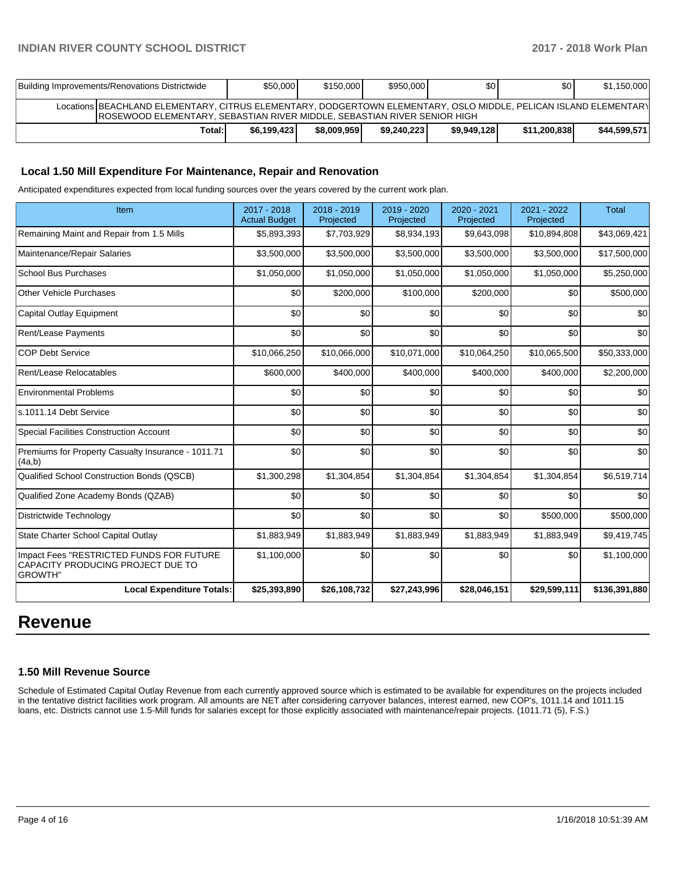| Building Improvements/Renovations Districtwide                                                                                                                                                       | \$50,000    | \$150,000   | \$950,000   | \$0         | \$0          | \$1,150,000  |  |  |
|------------------------------------------------------------------------------------------------------------------------------------------------------------------------------------------------------|-------------|-------------|-------------|-------------|--------------|--------------|--|--|
| Locations BEACHLAND ELEMENTARY, CITRUS ELEMENTARY, DODGERTOWN ELEMENTARY, OSLO MIDDLE, PELICAN ISLAND ELEMENTARY<br><b>IROSEWOOD ELEMENTARY, SEBASTIAN RIVER MIDDLE, SEBASTIAN RIVER SENIOR HIGH</b> |             |             |             |             |              |              |  |  |
| Total:                                                                                                                                                                                               | \$6.199.423 | \$8,009,959 | \$9.240.223 | \$9,949,128 | \$11,200,838 | \$44,599,571 |  |  |

#### **Local 1.50 Mill Expenditure For Maintenance, Repair and Renovation**

Anticipated expenditures expected from local funding sources over the years covered by the current work plan.

| Item                                                                                      | 2017 - 2018<br><b>Actual Budget</b> | 2018 - 2019<br>Projected | 2019 - 2020<br>Projected | 2020 - 2021<br>Projected | $2021 - 2022$<br>Projected | <b>Total</b>  |
|-------------------------------------------------------------------------------------------|-------------------------------------|--------------------------|--------------------------|--------------------------|----------------------------|---------------|
| Remaining Maint and Repair from 1.5 Mills                                                 | \$5,893,393                         | \$7,703,929              | \$8,934,193              | \$9,643,098              | \$10,894,808               | \$43,069,421  |
| Maintenance/Repair Salaries                                                               | \$3,500,000                         | \$3,500,000              | \$3,500,000              | \$3,500,000              | \$3,500,000                | \$17,500,000  |
| <b>School Bus Purchases</b>                                                               | \$1,050,000                         | \$1,050,000              | \$1,050,000              | \$1,050,000              | \$1,050,000                | \$5,250,000   |
| Other Vehicle Purchases                                                                   | \$0                                 | \$200,000                | \$100,000                | \$200,000                | \$0                        | \$500,000     |
| Capital Outlay Equipment                                                                  | \$0                                 | \$0                      | \$0                      | \$0                      | \$0                        | \$0           |
| Rent/Lease Payments                                                                       | \$0                                 | \$0                      | \$0                      | \$0                      | \$0                        | \$0           |
| <b>COP Debt Service</b>                                                                   | \$10,066,250                        | \$10,066,000             | \$10,071,000             | \$10,064,250             | \$10,065,500               | \$50,333,000  |
| Rent/Lease Relocatables                                                                   | \$600,000                           | \$400,000                | \$400,000                | \$400,000                | \$400,000                  | \$2,200,000   |
| <b>Environmental Problems</b>                                                             | \$0                                 | \$0                      | \$0                      | \$0                      | \$0                        | \$0           |
| ls.1011.14 Debt Service                                                                   | \$0                                 | \$0                      | \$0                      | \$0                      | \$0                        | \$0           |
| Special Facilities Construction Account                                                   | \$0                                 | \$0                      | \$0                      | \$0                      | \$0                        | \$0           |
| Premiums for Property Casualty Insurance - 1011.71<br>(4a,b)                              | \$0                                 | \$0                      | \$0                      | \$0                      | \$0                        | \$0           |
| Qualified School Construction Bonds (QSCB)                                                | \$1,300,298                         | \$1,304,854              | \$1,304,854              | \$1,304,854              | \$1,304,854                | \$6,519,714   |
| Qualified Zone Academy Bonds (QZAB)                                                       | \$0                                 | \$0                      | \$0                      | \$0                      | \$0                        | \$0           |
| Districtwide Technology                                                                   | \$0                                 | \$0                      | \$0                      | \$0                      | \$500,000                  | \$500,000     |
| State Charter School Capital Outlay                                                       | \$1,883,949                         | \$1,883,949              | \$1,883,949              | \$1,883,949              | \$1,883,949                | \$9,419,745   |
| Impact Fees "RESTRICTED FUNDS FOR FUTURE<br>CAPACITY PRODUCING PROJECT DUE TO<br> GROWTH" | \$1,100,000                         | \$0                      | \$0                      | \$0                      | \$0                        | \$1,100,000   |
| <b>Local Expenditure Totals:</b>                                                          | \$25,393,890                        | \$26,108,732             | \$27,243,996             | \$28,046,151             | \$29,599,111               | \$136,391,880 |

## **Revenue**

#### **1.50 Mill Revenue Source**

Schedule of Estimated Capital Outlay Revenue from each currently approved source which is estimated to be available for expenditures on the projects included in the tentative district facilities work program. All amounts are NET after considering carryover balances, interest earned, new COP's, 1011.14 and 1011.15 loans, etc. Districts cannot use 1.5-Mill funds for salaries except for those explicitly associated with maintenance/repair projects. (1011.71 (5), F.S.)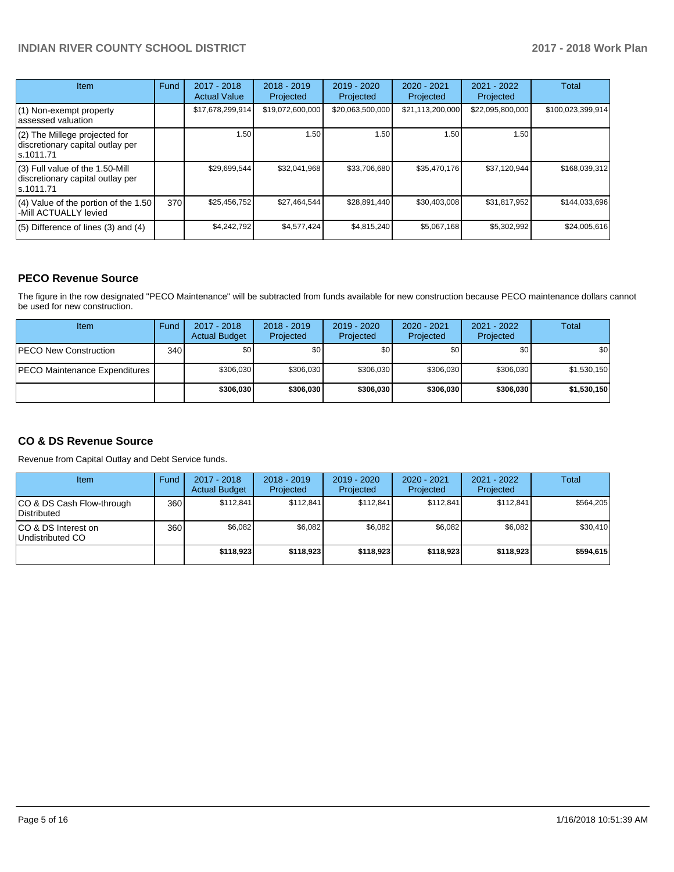| <b>Item</b>                                                                         | Fund | $2017 - 2018$<br><b>Actual Value</b> | $2018 - 2019$<br>Projected | $2019 - 2020$<br>Projected | $2020 - 2021$<br>Projected | $2021 - 2022$<br>Projected | Total             |
|-------------------------------------------------------------------------------------|------|--------------------------------------|----------------------------|----------------------------|----------------------------|----------------------------|-------------------|
| (1) Non-exempt property<br>lassessed valuation                                      |      | \$17,678,299,914                     | \$19,072,600,000           | \$20,063,500,000           | \$21,113,200,000           | \$22,095,800,000           | \$100,023,399,914 |
| (2) The Millege projected for<br>discretionary capital outlay per<br>ls.1011.71     |      | 1.50                                 | 1.50                       | 1.50                       | 1.50                       | 1.50                       |                   |
| $(3)$ Full value of the 1.50-Mill<br>discretionary capital outlay per<br>ls.1011.71 |      | \$29,699,544                         | \$32,041,968               | \$33,706,680               | \$35,470,176               | \$37,120,944               | \$168,039,312     |
| $(4)$ Value of the portion of the 1.50<br>-Mill ACTUALLY levied                     | 370  | \$25,456,752                         | \$27,464,544               | \$28,891,440               | \$30,403,008               | \$31,817,952               | \$144,033,696     |
| $(5)$ Difference of lines $(3)$ and $(4)$                                           |      | \$4.242.792                          | \$4.577.424                | \$4,815,240                | \$5,067,168                | \$5,302,992                | \$24,005,616      |

## **PECO Revenue Source**

The figure in the row designated "PECO Maintenance" will be subtracted from funds available for new construction because PECO maintenance dollars cannot be used for new construction.

| <b>Item</b>                          | Fund         | $2017 - 2018$<br><b>Actual Budget</b> | $2018 - 2019$<br>Projected | 2019 - 2020<br>Projected | $2020 - 2021$<br>Projected | $2021 - 2022$<br>Projected | Total       |
|--------------------------------------|--------------|---------------------------------------|----------------------------|--------------------------|----------------------------|----------------------------|-------------|
| <b>IPECO New Construction</b>        | 340 <b>I</b> | \$0                                   | \$0                        | \$0                      | \$0                        | \$0                        | \$0         |
| <b>PECO Maintenance Expenditures</b> |              | \$306,030                             | \$306,030                  | \$306.030                | \$306.030                  | \$306.030                  | \$1,530,150 |
|                                      |              | \$306,030                             | \$306,030                  | \$306.030                | \$306,030                  | \$306.030                  | \$1,530,150 |

## **CO & DS Revenue Source**

Revenue from Capital Outlay and Debt Service funds.

| Item                                      | Fund | $2017 - 2018$<br><b>Actual Budget</b> | $2018 - 2019$<br>Projected | 2019 - 2020<br>Projected | $2020 - 2021$<br>Projected | $2021 - 2022$<br>Projected | Total     |
|-------------------------------------------|------|---------------------------------------|----------------------------|--------------------------|----------------------------|----------------------------|-----------|
| ICO & DS Cash Flow-through<br>Distributed | 360  | \$112.841                             | \$112.841                  | \$112.841                | \$112.841                  | \$112.841                  | \$564.205 |
| ICO & DS Interest on<br>Undistributed CO  | 360  | \$6.082                               | \$6,082                    | \$6.082                  | \$6.082                    | \$6,082                    | \$30,410  |
|                                           |      | \$118,923                             | \$118,923                  | \$118.923                | \$118,923                  | \$118,923                  | \$594,615 |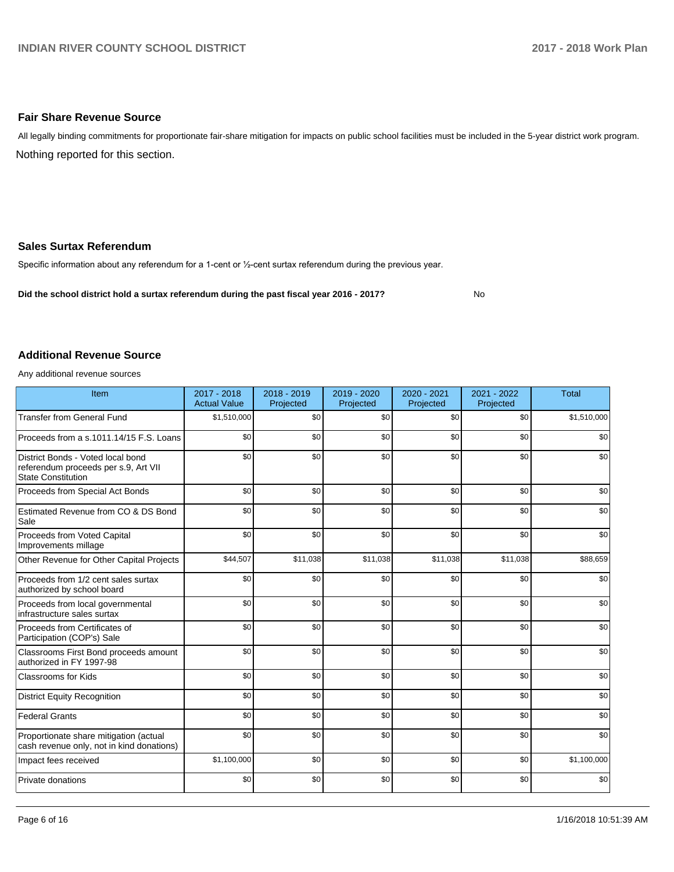#### **Fair Share Revenue Source**

Nothing reported for this section. All legally binding commitments for proportionate fair-share mitigation for impacts on public school facilities must be included in the 5-year district work program.

#### **Sales Surtax Referendum**

Specific information about any referendum for a 1-cent or 1/2-cent surtax referendum during the previous year.

**Did the school district hold a surtax referendum during the past fiscal year 2016 - 2017?**

No

#### **Additional Revenue Source**

Any additional revenue sources

| Item                                                                                                   | 2017 - 2018<br><b>Actual Value</b> | 2018 - 2019<br>Projected | 2019 - 2020<br>Projected | 2020 - 2021<br>Projected | 2021 - 2022<br>Projected | <b>Total</b> |
|--------------------------------------------------------------------------------------------------------|------------------------------------|--------------------------|--------------------------|--------------------------|--------------------------|--------------|
| <b>Transfer from General Fund</b>                                                                      | \$1,510,000                        | \$0                      | \$0                      | \$0                      | \$0                      | \$1,510,000  |
| Proceeds from a s.1011.14/15 F.S. Loans                                                                | \$0                                | \$0                      | \$0                      | \$0                      | \$0                      | \$0          |
| District Bonds - Voted local bond<br>referendum proceeds per s.9, Art VII<br><b>State Constitution</b> | \$0                                | \$0                      | \$0                      | \$0                      | \$0                      | \$0          |
| Proceeds from Special Act Bonds                                                                        | \$0                                | \$0                      | \$0                      | \$0                      | \$0                      | \$0          |
| Estimated Revenue from CO & DS Bond<br>Sale                                                            | \$0                                | \$0                      | \$0                      | \$0                      | \$0                      | \$0          |
| Proceeds from Voted Capital<br>Improvements millage                                                    | \$0                                | \$0                      | \$0                      | \$0                      | \$0                      | \$0          |
| Other Revenue for Other Capital Projects                                                               | \$44,507                           | \$11,038                 | \$11,038                 | \$11,038                 | \$11,038                 | \$88,659     |
| Proceeds from 1/2 cent sales surtax<br>authorized by school board                                      | \$0                                | \$0                      | \$0                      | \$0                      | \$0                      | \$0          |
| Proceeds from local governmental<br>infrastructure sales surtax                                        | \$0                                | \$0                      | \$0                      | \$0                      | \$0                      | \$0          |
| Proceeds from Certificates of<br>Participation (COP's) Sale                                            | \$0                                | \$0                      | \$0                      | \$0                      | \$0                      | \$0          |
| Classrooms First Bond proceeds amount<br>authorized in FY 1997-98                                      | \$0                                | \$0                      | \$0                      | \$0                      | \$0                      | \$0          |
| Classrooms for Kids                                                                                    | \$0                                | \$0                      | \$0                      | \$0                      | \$0                      | \$0          |
| <b>District Equity Recognition</b>                                                                     | \$0                                | \$0                      | \$0                      | \$0                      | \$0                      | \$0          |
| <b>Federal Grants</b>                                                                                  | \$0                                | \$0                      | \$0                      | \$0                      | \$0                      | \$0          |
| Proportionate share mitigation (actual<br>cash revenue only, not in kind donations)                    | \$0                                | \$0                      | \$0                      | \$0                      | \$0                      | \$0          |
| Impact fees received                                                                                   | \$1,100,000                        | \$0                      | \$0                      | \$0                      | \$0                      | \$1,100,000  |
| Private donations                                                                                      | \$0                                | \$0                      | \$0                      | \$0                      | \$0                      | \$0          |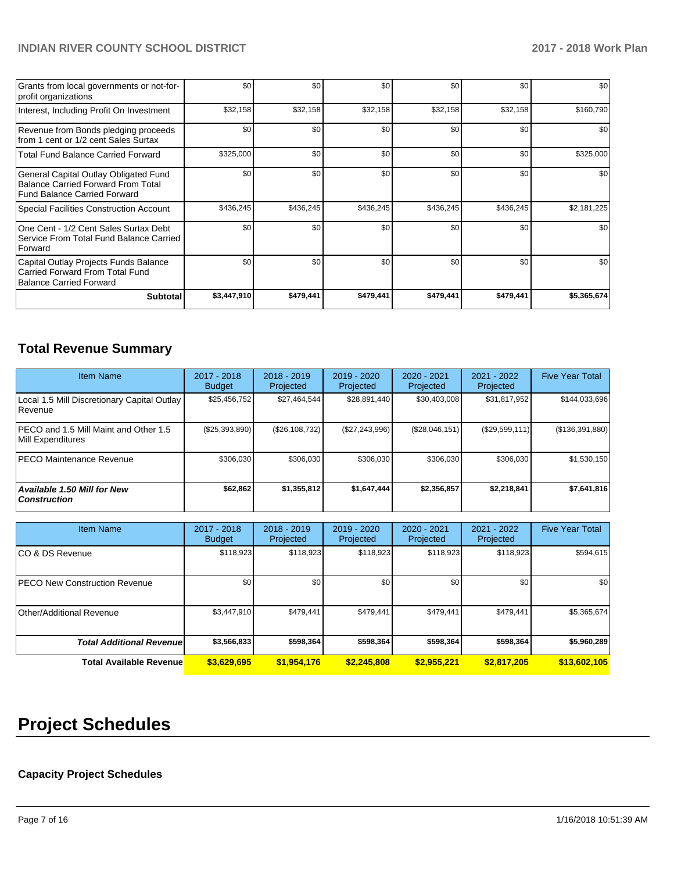| Grants from local governments or not-for-<br>profit organizations                                                  | \$0         | \$0       | \$0       | \$0       | \$0       | \$0         |
|--------------------------------------------------------------------------------------------------------------------|-------------|-----------|-----------|-----------|-----------|-------------|
| Interest, Including Profit On Investment                                                                           | \$32,158    | \$32,158  | \$32,158  | \$32,158  | \$32,158  | \$160,790   |
| Revenue from Bonds pledging proceeds<br>from 1 cent or 1/2 cent Sales Surtax                                       | \$0         | \$0       | \$0       | \$0       | \$0       | \$0         |
| <b>Total Fund Balance Carried Forward</b>                                                                          | \$325,000   | \$0       | \$0       | \$0       | \$0       | \$325,000   |
| General Capital Outlay Obligated Fund<br><b>Balance Carried Forward From Total</b><br>Fund Balance Carried Forward | \$0         | \$0       | \$0       | \$0       | \$0       | \$0         |
| <b>Special Facilities Construction Account</b>                                                                     | \$436,245   | \$436,245 | \$436,245 | \$436,245 | \$436,245 | \$2,181,225 |
| One Cent - 1/2 Cent Sales Surtax Debt<br>Service From Total Fund Balance Carried<br>Forward                        | \$0         | \$0       | \$0       | \$0       | \$0       | \$0         |
| Capital Outlay Projects Funds Balance<br>Carried Forward From Total Fund<br>Balance Carried Forward                | \$0         | \$0       | \$0       | \$0       | \$0       | \$0         |
| <b>Subtotal</b>                                                                                                    | \$3,447,910 | \$479,441 | \$479,441 | \$479,441 | \$479,441 | \$5,365,674 |

## **Total Revenue Summary**

| <b>Item Name</b>                                           | 2017 - 2018<br><b>Budget</b> | $2018 - 2019$<br>Projected | 2019 - 2020<br>Projected | $2020 - 2021$<br>Projected | 2021 - 2022<br>Projected | <b>Five Year Total</b> |
|------------------------------------------------------------|------------------------------|----------------------------|--------------------------|----------------------------|--------------------------|------------------------|
| Local 1.5 Mill Discretionary Capital Outlay<br>l Revenue   | \$25,456,752                 | \$27,464,544               | \$28,891,440             | \$30,403,008               | \$31,817,952             | \$144,033,696          |
| PECO and 1.5 Mill Maint and Other 1.5<br>Mill Expenditures | (\$25,393,890)               | (\$26,108,732)             | (\$27,243,996)           | (S28,046,151)              | (\$29,599,111)           | (\$136,391,880)        |
| <b>PECO Maintenance Revenue</b>                            | \$306.030                    | \$306,030                  | \$306.030                | \$306.030                  | \$306,030                | \$1,530,150            |
| Available 1.50 Mill for New<br><b>Construction</b>         | \$62,862                     | \$1,355,812                | \$1,647,444              | \$2,356,857                | \$2,218,841              | \$7,641,816            |

| <b>Item Name</b>                      | 2017 - 2018<br><b>Budget</b> | $2018 - 2019$<br>Projected | 2019 - 2020<br>Projected | 2020 - 2021<br>Projected | 2021 - 2022<br>Projected | <b>Five Year Total</b> |
|---------------------------------------|------------------------------|----------------------------|--------------------------|--------------------------|--------------------------|------------------------|
| ICO & DS Revenue                      | \$118,923                    | \$118,923                  | \$118,923                | \$118,923                | \$118,923                | \$594,615              |
| <b>IPECO New Construction Revenue</b> | \$0                          | \$0                        | \$0                      | \$0                      | \$0                      | \$0                    |
| Other/Additional Revenue              | \$3,447,910                  | \$479,441                  | \$479.441                | \$479,441                | \$479,441                | \$5,365,674            |
| <b>Total Additional Revenuel</b>      | \$3,566,833                  | \$598,364                  | \$598,364                | \$598,364                | \$598,364                | \$5,960,289            |
| <b>Total Available Revenue</b>        | \$3,629,695                  | \$1,954,176                | \$2,245,808              | \$2,955,221              | \$2,817,205              | \$13,602,105           |

# **Project Schedules**

## **Capacity Project Schedules**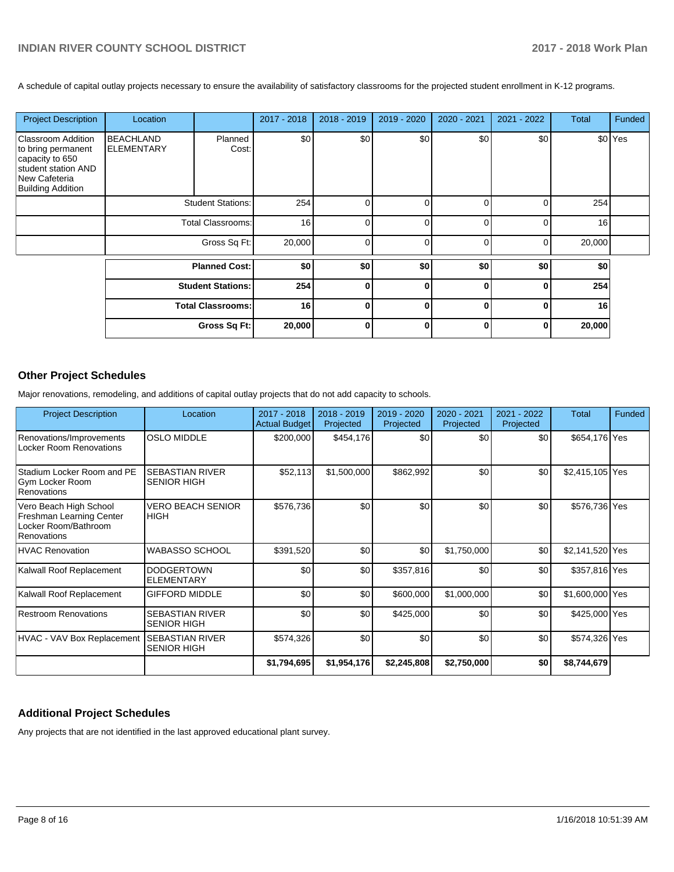A schedule of capital outlay projects necessary to ensure the availability of satisfactory classrooms for the projected student enrollment in K-12 programs.

| <b>Project Description</b>                                                                                                             | Location                              |                          | 2017 - 2018 | 2018 - 2019 | 2019 - 2020 | 2020 - 2021 | 2021 - 2022 | <b>Total</b> | Funded  |
|----------------------------------------------------------------------------------------------------------------------------------------|---------------------------------------|--------------------------|-------------|-------------|-------------|-------------|-------------|--------------|---------|
| <b>Classroom Addition</b><br>to bring permanent<br>capacity to 650<br>student station AND<br>New Cafeteria<br><b>Building Addition</b> | <b>BEACHLAND</b><br><b>ELEMENTARY</b> | Planned<br>Cost:         | \$0         | \$0         | \$0         | \$0         | \$0         |              | \$0 Yes |
|                                                                                                                                        |                                       | <b>Student Stations:</b> | 254         | U           |             |             | O           | 254          |         |
|                                                                                                                                        |                                       | <b>Total Classrooms:</b> | 16          | 0           |             |             | ∩           | 16           |         |
|                                                                                                                                        |                                       | Gross Sq Ft:             | 20,000      | $\Omega$    | n           | n           | 0           | 20,000       |         |
|                                                                                                                                        |                                       | <b>Planned Cost:</b>     | \$0         | \$0         | \$0         | \$0         | \$0         | \$0          |         |
|                                                                                                                                        |                                       | <b>Student Stations:</b> | 254         | 0           | $\bf{0}$    | 0           | $\Omega$    | 254          |         |
|                                                                                                                                        |                                       | <b>Total Classrooms:</b> | 16          | $\bf{0}$    | $\bf{0}$    | ŋ           | $\Omega$    | 16           |         |
|                                                                                                                                        |                                       | Gross Sq Ft:             | 20,000      | $\bf{0}$    | $\bf{0}$    | O           | $\Omega$    | 20,000       |         |

## **Other Project Schedules**

Major renovations, remodeling, and additions of capital outlay projects that do not add capacity to schools.

| <b>Project Description</b>                                                                | Location                                     | $2017 - 2018$<br><b>Actual Budget</b> | $2018 - 2019$<br>Projected | 2019 - 2020<br>Projected | $2020 - 2021$<br>Projected | 2021 - 2022<br>Projected | <b>Total</b>    | Funded |
|-------------------------------------------------------------------------------------------|----------------------------------------------|---------------------------------------|----------------------------|--------------------------|----------------------------|--------------------------|-----------------|--------|
| Renovations/Improvements<br><b>Locker Room Renovations</b>                                | <b>OSLO MIDDLE</b>                           | \$200,000                             | \$454,176                  | \$0                      | \$0                        | \$0                      | \$654,176 Yes   |        |
| Stadium Locker Room and PE<br>Gym Locker Room<br>Renovations                              | <b>SEBASTIAN RIVER</b><br><b>SENIOR HIGH</b> | \$52,113                              | \$1,500,000                | \$862,992                | \$0                        | \$0                      | \$2,415,105 Yes |        |
| Vero Beach High School<br>Freshman Learning Center<br>Locker Room/Bathroom<br>Renovations | <b>VERO BEACH SENIOR</b><br><b>HIGH</b>      | \$576,736                             | \$0                        | \$0                      | \$0                        | \$0                      | \$576,736 Yes   |        |
| <b>HVAC Renovation</b>                                                                    | <b>WABASSO SCHOOL</b>                        | \$391,520                             | \$0                        | \$0                      | \$1,750,000                | \$0                      | \$2,141,520 Yes |        |
| Kalwall Roof Replacement                                                                  | <b>DODGERTOWN</b><br><b>ELEMENTARY</b>       | \$0                                   | \$0                        | \$357,816                | \$0                        | \$0                      | \$357,816 Yes   |        |
| Kalwall Roof Replacement                                                                  | <b>GIFFORD MIDDLE</b>                        | \$0                                   | \$0                        | \$600,000                | \$1,000,000                | \$0                      | \$1,600,000 Yes |        |
| <b>Restroom Renovations</b>                                                               | <b>SEBASTIAN RIVER</b><br><b>SENIOR HIGH</b> | \$0                                   | \$0                        | \$425,000                | \$0                        | \$0                      | \$425,000 Yes   |        |
| HVAC - VAV Box Replacement                                                                | <b>SEBASTIAN RIVER</b><br><b>SENIOR HIGH</b> | \$574,326                             | \$0                        | \$0                      | \$0                        | \$0                      | \$574,326 Yes   |        |
|                                                                                           |                                              | \$1,794,695                           | \$1,954,176                | \$2,245,808              | \$2,750,000                | \$0                      | \$8,744,679     |        |

## **Additional Project Schedules**

Any projects that are not identified in the last approved educational plant survey.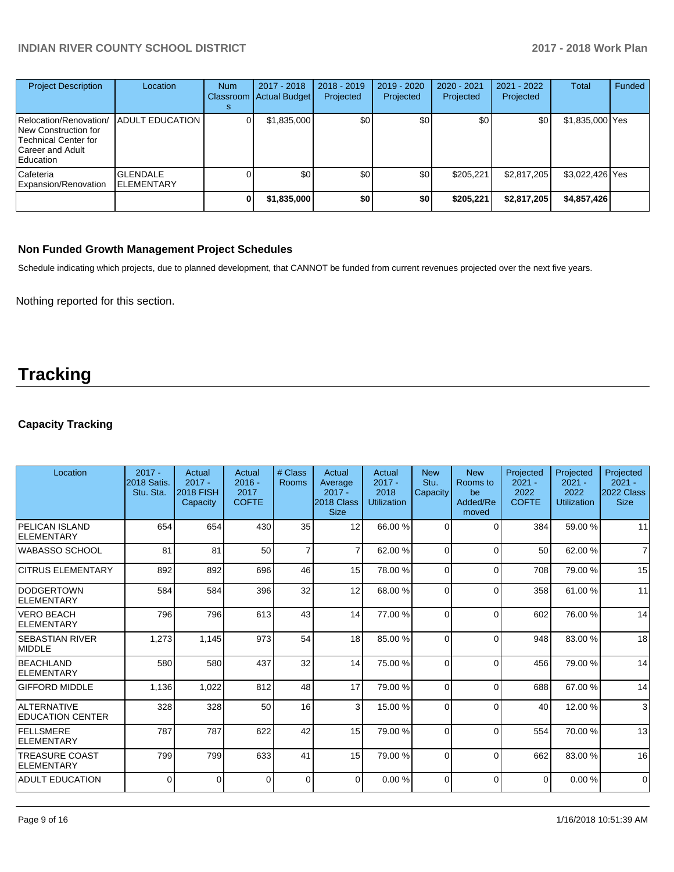| <b>Project Description</b>                                                                              | Location                              | <b>Num</b><br><b>Classroom</b> | $2017 - 2018$<br>Actual Budget | $2018 - 2019$<br>Projected | 2019 - 2020<br>Projected | 2020 - 2021<br>Projected | $2021 - 2022$<br>Projected | <b>Total</b>    | Funded |
|---------------------------------------------------------------------------------------------------------|---------------------------------------|--------------------------------|--------------------------------|----------------------------|--------------------------|--------------------------|----------------------------|-----------------|--------|
| Relocation/Renovation/<br>New Construction for<br>Technical Center for<br>Career and Adult<br>Education | <b>ADULT EDUCATION</b>                |                                | \$1,835,000                    | \$0 <sub>1</sub>           | \$0                      | \$0 <sub>1</sub>         | \$0                        | \$1,835,000 Yes |        |
| Cafeteria<br>Expansion/Renovation                                                                       | <b>GLENDALE</b><br><b>IELEMENTARY</b> |                                | \$0                            | \$0 <sub>1</sub>           | \$0 <sub>1</sub>         | \$205.221                | \$2,817,205                | \$3,022,426 Yes |        |
|                                                                                                         |                                       |                                | \$1,835,000                    | \$0                        | \$0                      | \$205,221                | \$2,817,205                | \$4,857,426     |        |

## **Non Funded Growth Management Project Schedules**

Schedule indicating which projects, due to planned development, that CANNOT be funded from current revenues projected over the next five years.

Nothing reported for this section.

## **Tracking**

## **Capacity Tracking**

| Location                                      | $2017 -$<br><b>2018 Satis.</b><br>Stu. Sta. | Actual<br>$2017 -$<br><b>2018 FISH</b><br>Capacity | Actual<br>$2016 -$<br>2017<br><b>COFTE</b> | # Class<br><b>Rooms</b> | Actual<br>Average<br>$2017 -$<br>2018 Class<br><b>Size</b> | Actual<br>$2017 -$<br>2018<br><b>Utilization</b> | <b>New</b><br>Stu.<br>Capacity | <b>New</b><br>Rooms to<br>be<br>Added/Re<br>moved | Projected<br>$2021 -$<br>2022<br><b>COFTE</b> | Projected<br>$2021 -$<br>2022<br><b>Utilization</b> | Projected<br>$2021 -$<br>2022 Class<br><b>Size</b> |
|-----------------------------------------------|---------------------------------------------|----------------------------------------------------|--------------------------------------------|-------------------------|------------------------------------------------------------|--------------------------------------------------|--------------------------------|---------------------------------------------------|-----------------------------------------------|-----------------------------------------------------|----------------------------------------------------|
| PELICAN ISLAND<br>ELEMENTARY                  | 654                                         | 654                                                | 430                                        | 35                      | 12                                                         | 66.00 %                                          | $\Omega$                       | $\Omega$                                          | 384                                           | 59.00 %                                             | 11                                                 |
| WABASSO SCHOOL                                | 81                                          | 81                                                 | 50                                         | $\overline{7}$          | $\overline{7}$                                             | 62.00%                                           | $\Omega$                       | $\Omega$                                          | 50                                            | 62.00 %                                             | $\overline{7}$                                     |
| <b>CITRUS ELEMENTARY</b>                      | 892                                         | 892                                                | 696                                        | 46                      | 15                                                         | 78.00 %                                          | $\Omega$                       | $\Omega$                                          | 708                                           | 79.00 %                                             | 15                                                 |
| <b>DODGERTOWN</b><br><b>ELEMENTARY</b>        | 584                                         | 584                                                | 396                                        | 32                      | 12                                                         | 68.00 %                                          | $\Omega$                       | $\Omega$                                          | 358                                           | 61.00%                                              | 11                                                 |
| <b>VERO BEACH</b><br>ELEMENTARY               | 796                                         | 796                                                | 613                                        | 43                      | 14                                                         | 77.00 %                                          | $\Omega$                       | $\Omega$                                          | 602                                           | 76.00 %                                             | 14                                                 |
| <b>SEBASTIAN RIVER</b><br>MIDDLE              | 1,273                                       | 1,145                                              | 973                                        | 54                      | 18                                                         | 85.00 %                                          | $\Omega$                       | $\Omega$                                          | 948                                           | 83.00 %                                             | 18                                                 |
| BEACHLAND<br><b>ELEMENTARY</b>                | 580                                         | 580                                                | 437                                        | 32                      | 14                                                         | 75.00 %                                          | $\Omega$                       | $\Omega$                                          | 456                                           | 79.00 %                                             | 14                                                 |
| <b>GIFFORD MIDDLE</b>                         | 1,136                                       | 1,022                                              | 812                                        | 48                      | 17                                                         | 79.00 %                                          | $\Omega$                       | $\Omega$                                          | 688                                           | 67.00 %                                             | 14                                                 |
| <b>ALTERNATIVE</b><br><b>EDUCATION CENTER</b> | 328                                         | 328                                                | 50                                         | 16                      | 3                                                          | 15.00 %                                          | $\Omega$                       | $\Omega$                                          | 40                                            | 12.00 %                                             | $\mathbf{3}$                                       |
| <b>FELLSMERE</b><br>ELEMENTARY                | 787                                         | 787                                                | 622                                        | 42                      | 15                                                         | 79.00 %                                          | $\Omega$                       | $\Omega$                                          | 554                                           | 70.00 %                                             | 13                                                 |
| <b>TREASURE COAST</b><br>ELEMENTARY           | 799                                         | 799                                                | 633                                        | 41                      | 15                                                         | 79.00 %                                          | $\Omega$                       | $\Omega$                                          | 662                                           | 83.00 %                                             | 16                                                 |
| <b>ADULT EDUCATION</b>                        | 0                                           | $\Omega$                                           | $\Omega$                                   | $\mathbf 0$             | $\overline{0}$                                             | 0.00%                                            | $\Omega$                       | $\Omega$                                          | $\Omega$                                      | 0.00%                                               | $\mathbf 0$                                        |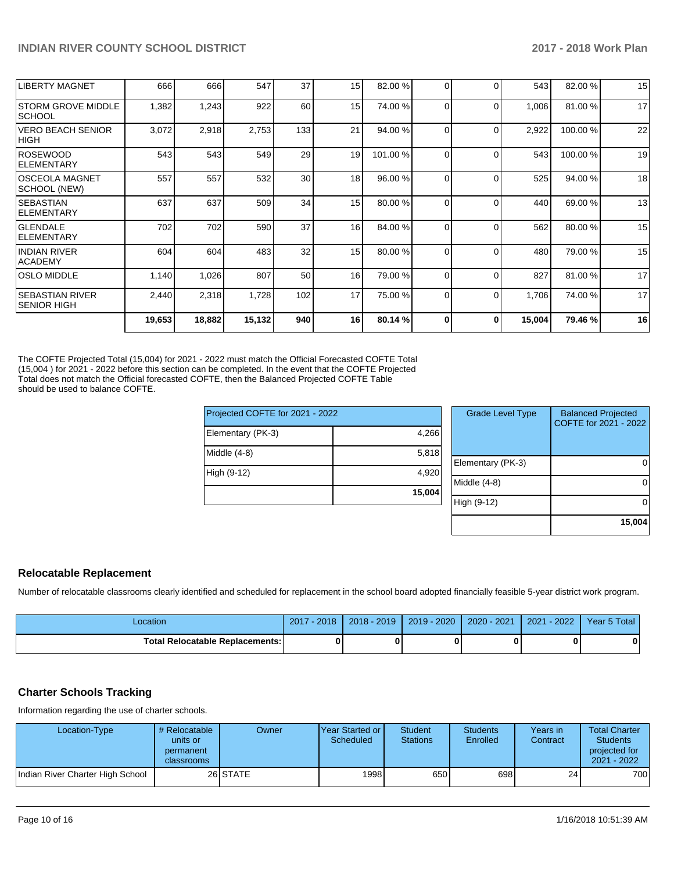| <b>LIBERTY MAGNET</b>                        | 666    | 666    | 547    | 37              | 15 | 82.00 % | 0 | $\Omega$ | 543    | 82.00 %  | 15 |
|----------------------------------------------|--------|--------|--------|-----------------|----|---------|---|----------|--------|----------|----|
| <b>STORM GROVE MIDDLE</b><br> SCHOOL         | 1,382  | 1,243  | 922    | 60              | 15 | 74.00 % | 0 | $\Omega$ | 1,006  | 81.00 %  | 17 |
| <b>VERO BEACH SENIOR</b><br>HIGH             | 3,072  | 2,918  | 2,753  | 133             | 21 | 94.00 % | 0 | $\Omega$ | 2,922  | 100.00%  | 22 |
| <b>ROSEWOOD</b><br>ELEMENTARY                | 543    | 543    | 549    | 29              | 19 | 101.00% | 0 | $\Omega$ | 543    | 100.00 % | 19 |
| IOSCEOLA MAGNET<br>SCHOOL (NEW)              | 557    | 557    | 532    | 30 <sub>l</sub> | 18 | 96.00 % | 0 | $\Omega$ | 525    | 94.00 %  | 18 |
| <b>SEBASTIAN</b><br><b>IELEMENTARY</b>       | 637    | 637    | 509    | 34              | 15 | 80.00 % | 0 | $\Omega$ | 440    | 69.00 %  | 13 |
| <b>GLENDALE</b><br>ELEMENTARY                | 702    | 702    | 590    | 37              | 16 | 84.00 % | 0 | $\Omega$ | 562    | 80.00 %  | 15 |
| <b>INDIAN RIVER</b><br><b>ACADEMY</b>        | 604    | 604    | 483    | 32              | 15 | 80.00 % |   | $\Omega$ | 480    | 79.00 %  | 15 |
| <b>OSLO MIDDLE</b>                           | 1,140  | 1,026  | 807    | 50              | 16 | 79.00 % | 0 | $\Omega$ | 827    | 81.00%   | 17 |
| <b>SEBASTIAN RIVER</b><br><b>SENIOR HIGH</b> | 2,440  | 2,318  | 1,728  | 102             | 17 | 75.00 % | 0 | $\Omega$ | 1,706  | 74.00 %  | 17 |
|                                              | 19,653 | 18,882 | 15,132 | 940             | 16 | 80.14 % | ŋ | $\Omega$ | 15,004 | 79.46 %  | 16 |
|                                              |        |        |        |                 |    |         |   |          |        |          |    |

The COFTE Projected Total (15,004) for 2021 - 2022 must match the Official Forecasted COFTE Total (15,004 ) for 2021 - 2022 before this section can be completed. In the event that the COFTE Projected Total does not match the Official forecasted COFTE, then the Balanced Projected COFTE Table should be used to balance COFTE.

| Projected COFTE for 2021 - 2022 |        | <b>Grade Level Type</b> | <b>Balanced Projected</b><br>COFTE for 2021 - 2022 |
|---------------------------------|--------|-------------------------|----------------------------------------------------|
| Elementary (PK-3)               | 4,266  |                         |                                                    |
| Middle (4-8)                    | 5,818  |                         |                                                    |
|                                 |        | Elementary (PK-3)       | 0                                                  |
| High (9-12)                     | 4,920  |                         |                                                    |
|                                 |        | Middle (4-8)            | $\Omega$                                           |
|                                 | 15,004 |                         |                                                    |
|                                 |        | High (9-12)             | $\Omega$                                           |
|                                 |        |                         |                                                    |
|                                 |        |                         | 15,004                                             |

#### **Relocatable Replacement**

Number of relocatable classrooms clearly identified and scheduled for replacement in the school board adopted financially feasible 5-year district work program.

| Location                               | 2017 - 2018 | $2018 - 2019$ | $2019 - 2020$ | 2020 - 2021 | $2021 - 2022$ | Year 5 Total |
|----------------------------------------|-------------|---------------|---------------|-------------|---------------|--------------|
| <b>Total Relocatable Replacements:</b> |             |               |               |             |               | 0            |

#### **Charter Schools Tracking**

Information regarding the use of charter schools.

| Location-Type                     | # Relocatable<br>units or<br>permanent<br>classrooms | Owner    | <b>IYear Started or I</b><br>Scheduled | <b>Student</b><br><b>Stations</b> | <b>Students</b><br>Enrolled | Years in<br>Contract | <b>Total Charter</b><br><b>Students</b><br>projected for<br>2021 - 2022 |
|-----------------------------------|------------------------------------------------------|----------|----------------------------------------|-----------------------------------|-----------------------------|----------------------|-------------------------------------------------------------------------|
| 'Indian River Charter High School |                                                      | 26 STATE | 1998                                   | 650                               | 698                         | 24                   | 700                                                                     |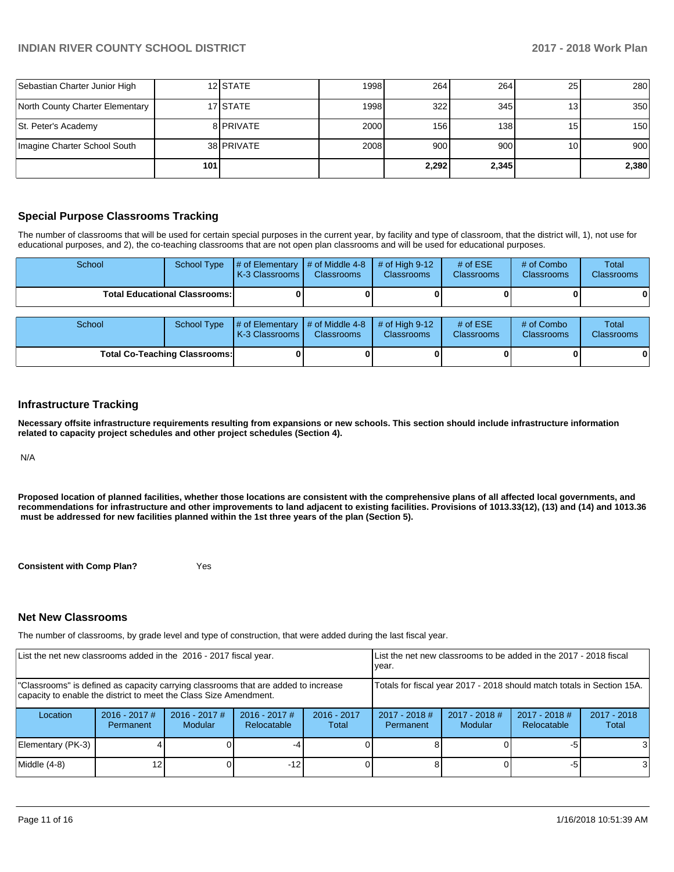| Sebastian Charter Junior High   |     | 12 STATE   | 1998 | 264   | 264   | <b>251</b>      | 280   |
|---------------------------------|-----|------------|------|-------|-------|-----------------|-------|
| North County Charter Elementary |     | 17 STATE   | 1998 | 322   | 345   | 13 <sub>1</sub> | 350   |
| St. Peter's Academy             |     | 8 PRIVATE  | 2000 | 156   | 138   | 15              | 150   |
| Imagine Charter School South    |     | 38 PRIVATE | 2008 | 900   | 900   | 10 <sub>1</sub> | 900   |
|                                 | 101 |            |      | 2.292 | 2,345 |                 | 2,380 |

### **Special Purpose Classrooms Tracking**

The number of classrooms that will be used for certain special purposes in the current year, by facility and type of classroom, that the district will, 1), not use for educational purposes, and 2), the co-teaching classrooms that are not open plan classrooms and will be used for educational purposes.

| School                               | <b>School Type</b> | # of Elementary<br>K-3 Classrooms | # of Middle 4-8<br><b>Classrooms</b> | $#$ of High 9-12<br><b>Classrooms</b> | # of $ESE$<br><b>Classrooms</b> | # of Combo<br><b>Classrooms</b> | Total<br><b>Classrooms</b> |
|--------------------------------------|--------------------|-----------------------------------|--------------------------------------|---------------------------------------|---------------------------------|---------------------------------|----------------------------|
| <b>Total Educational Classrooms:</b> |                    |                                   |                                      |                                       |                                 |                                 |                            |
| School                               | <b>School Type</b> | # of Elementary<br>K-3 Classrooms | # of Middle 4-8<br><b>Classrooms</b> | # of High $9-12$<br><b>Classrooms</b> | # of $ESE$<br><b>Classrooms</b> | # of Combo<br>Classrooms        | Total<br>Classrooms        |
| <b>Total Co-Teaching Classrooms:</b> |                    |                                   |                                      |                                       |                                 |                                 |                            |

#### **Infrastructure Tracking**

**Necessary offsite infrastructure requirements resulting from expansions or new schools. This section should include infrastructure information related to capacity project schedules and other project schedules (Section 4).** 

N/A

**Proposed location of planned facilities, whether those locations are consistent with the comprehensive plans of all affected local governments, and recommendations for infrastructure and other improvements to land adjacent to existing facilities. Provisions of 1013.33(12), (13) and (14) and 1013.36 must be addressed for new facilities planned within the 1st three years of the plan (Section 5).** 

**Consistent with Comp Plan?** Yes

## **Net New Classrooms**

The number of classrooms, by grade level and type of construction, that were added during the last fiscal year.

| List the net new classrooms added in the 2016 - 2017 fiscal year.                                                                                       |                              |                            |                                |                        | year.                        |                                                                        | List the net new classrooms to be added in the 2017 - 2018 fiscal |                        |
|---------------------------------------------------------------------------------------------------------------------------------------------------------|------------------------------|----------------------------|--------------------------------|------------------------|------------------------------|------------------------------------------------------------------------|-------------------------------------------------------------------|------------------------|
| "Classrooms" is defined as capacity carrying classrooms that are added to increase<br>capacity to enable the district to meet the Class Size Amendment. |                              |                            |                                |                        |                              | Totals for fiscal year 2017 - 2018 should match totals in Section 15A. |                                                                   |                        |
| Location                                                                                                                                                | $2016 - 2017$ #<br>Permanent | $2016 - 2017$ #<br>Modular | $2016 - 2017$ #<br>Relocatable | $2016 - 2017$<br>Total | $2017 - 2018$ #<br>Permanent | $2017 - 2018$ #<br>Modular                                             | $2017 - 2018$ #<br>Relocatable                                    | $2017 - 2018$<br>Total |
| Elementary (PK-3)                                                                                                                                       |                              |                            |                                |                        |                              |                                                                        | -5                                                                | 3                      |
| Middle (4-8)                                                                                                                                            | 12                           |                            | $-12$                          |                        |                              |                                                                        | -5                                                                | 3                      |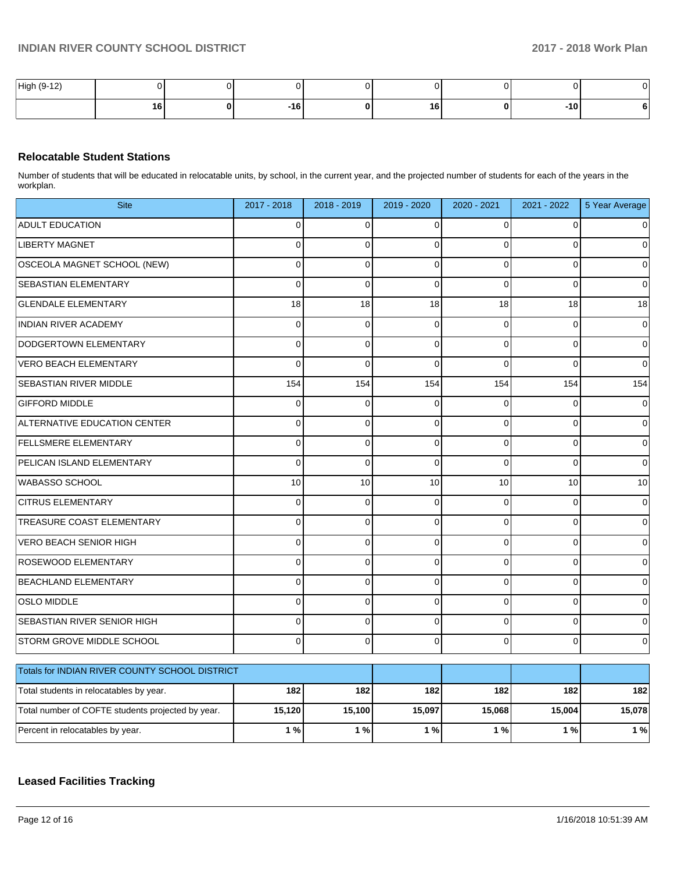| $\overline{A}$<br>High i.<br>. . |    |            |     |    |  |
|----------------------------------|----|------------|-----|----|--|
|                                  | 16 | . .<br>. . | ם ו | 10 |  |

## **Relocatable Student Stations**

Number of students that will be educated in relocatable units, by school, in the current year, and the projected number of students for each of the years in the workplan.

| <b>Site</b>                                       | 2017 - 2018    | $2018 - 2019$ | 2019 - 2020    | 2020 - 2021 | 2021 - 2022    | 5 Year Average |
|---------------------------------------------------|----------------|---------------|----------------|-------------|----------------|----------------|
| <b>ADULT EDUCATION</b>                            | 0              | $\mathbf 0$   | 0              | $\Omega$    | 0              |                |
| <b>LIBERTY MAGNET</b>                             | $\Omega$       | $\Omega$      | $\Omega$       | $\Omega$    | 0              | 0              |
| OSCEOLA MAGNET SCHOOL (NEW)                       | $\Omega$       | $\Omega$      | $\Omega$       | $\Omega$    | $\Omega$       | $\Omega$       |
| SEBASTIAN ELEMENTARY                              | $\overline{0}$ | $\mathbf 0$   | $\mathbf 0$    | $\Omega$    | 0              | $\Omega$       |
| <b>GLENDALE ELEMENTARY</b>                        | 18             | 18            | 18             | 18          | 18             | 18             |
| <b>INDIAN RIVER ACADEMY</b>                       | $\mathbf 0$    | $\mathbf 0$   | $\overline{0}$ | $\Omega$    | 0              | $\Omega$       |
| DODGERTOWN ELEMENTARY                             | $\Omega$       | $\Omega$      | $\Omega$       | $\Omega$    | $\Omega$       | $\mathbf 0$    |
| <b>VERO BEACH ELEMENTARY</b>                      | $\Omega$       | $\mathbf{0}$  | $\Omega$       | $\Omega$    | $\Omega$       | $\Omega$       |
| <b>SEBASTIAN RIVER MIDDLE</b>                     | 154            | 154           | 154            | 154         | 154            | 154            |
| <b>GIFFORD MIDDLE</b>                             | 0              | 0             | $\Omega$       | $\Omega$    | $\Omega$       | $\Omega$       |
| ALTERNATIVE EDUCATION CENTER                      | $\Omega$       | $\mathbf 0$   | $\mathbf 0$    | $\Omega$    | 0              | $\Omega$       |
| FELLSMERE ELEMENTARY                              | $\Omega$       | $\mathbf 0$   | $\mathbf 0$    | $\Omega$    | $\Omega$       | 0              |
| PELICAN ISLAND ELEMENTARY                         | 0              | $\mathbf 0$   | $\overline{0}$ | $\Omega$    | 0              | 0              |
| <b>WABASSO SCHOOL</b>                             | 10             | 10            | 10             | 10          | 10             | 10             |
| <b>CITRUS ELEMENTARY</b>                          | $\mathbf 0$    | $\mathbf 0$   | $\overline{0}$ | $\Omega$    | 0              | 0              |
| TREASURE COAST ELEMENTARY                         | $\overline{0}$ | $\Omega$      | $\Omega$       | $\Omega$    | $\Omega$       | $\Omega$       |
| <b>VERO BEACH SENIOR HIGH</b>                     | $\Omega$       | $\mathbf{0}$  | $\Omega$       | $\Omega$    | $\Omega$       | $\Omega$       |
| ROSEWOOD ELEMENTARY                               | $\Omega$       | $\mathbf 0$   | $\mathbf 0$    | $\Omega$    | $\overline{0}$ | $\Omega$       |
| <b>BEACHLAND ELEMENTARY</b>                       | $\Omega$       | $\Omega$      | $\Omega$       | $\Omega$    | $\Omega$       | $\Omega$       |
| <b>OSLO MIDDLE</b>                                | 0              | $\mathbf 0$   | $\mathbf 0$    | $\mathbf 0$ | $\mathbf 0$    | 0              |
| SEBASTIAN RIVER SENIOR HIGH                       | 0              | $\mathbf 0$   | $\Omega$       | $\Omega$    | 0              | 0              |
| <b>STORM GROVE MIDDLE SCHOOL</b>                  | $\overline{0}$ | $\mathbf 0$   | $\mathbf 0$    | $\Omega$    | 0              | 0              |
| Totals for INDIAN RIVER COUNTY SCHOOL DISTRICT    |                |               |                |             |                |                |
|                                                   |                |               |                |             |                |                |
| Total students in relocatables by year.           | 182            | 182           | 182            | 182         | 182            | 182            |
| Total number of COFTE students projected by year. | 15,120         | 15,100        | 15,097         | 15,068      | 15,004         | 15,078         |
| Percent in relocatables by year.                  | 1%             | 1%            | 1%             | 1%          | 1%             | $1%$           |

## **Leased Facilities Tracking**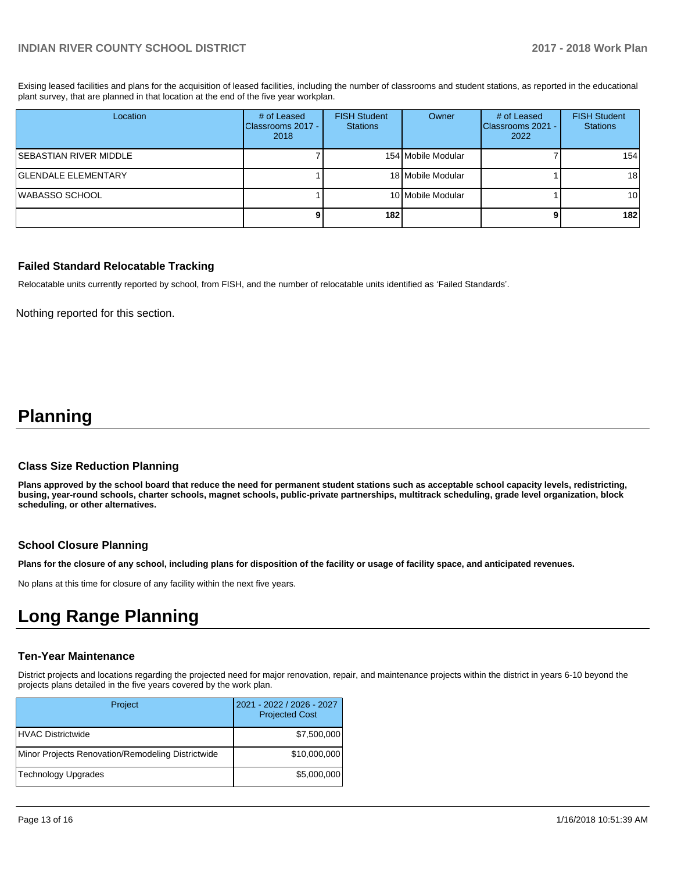Exising leased facilities and plans for the acquisition of leased facilities, including the number of classrooms and student stations, as reported in the educational plant survey, that are planned in that location at the end of the five year workplan.

| Location                   | # of Leased<br><b>IClassrooms 2017 -</b><br>2018 | <b>FISH Student</b><br><b>Stations</b> | Owner              | # of Leased<br>Classrooms 2021 -<br>2022 | <b>FISH Student</b><br><b>Stations</b> |
|----------------------------|--------------------------------------------------|----------------------------------------|--------------------|------------------------------------------|----------------------------------------|
| SEBASTIAN RIVER MIDDLE     |                                                  |                                        | 154 Mobile Modular |                                          | 154                                    |
| <b>GLENDALE ELEMENTARY</b> |                                                  |                                        | 18 Mobile Modular  |                                          | 18 <sup>1</sup>                        |
| WABASSO SCHOOL             |                                                  |                                        | 10 Mobile Modular  |                                          | 10 l                                   |
|                            |                                                  | 182                                    |                    |                                          | 182                                    |

#### **Failed Standard Relocatable Tracking**

Relocatable units currently reported by school, from FISH, and the number of relocatable units identified as 'Failed Standards'.

Nothing reported for this section.

## **Planning**

#### **Class Size Reduction Planning**

**Plans approved by the school board that reduce the need for permanent student stations such as acceptable school capacity levels, redistricting, busing, year-round schools, charter schools, magnet schools, public-private partnerships, multitrack scheduling, grade level organization, block scheduling, or other alternatives.**

#### **School Closure Planning**

**Plans for the closure of any school, including plans for disposition of the facility or usage of facility space, and anticipated revenues.** 

No plans at this time for closure of any facility within the next five years.

## **Long Range Planning**

#### **Ten-Year Maintenance**

District projects and locations regarding the projected need for major renovation, repair, and maintenance projects within the district in years 6-10 beyond the projects plans detailed in the five years covered by the work plan.

| Project                                           | 2021 - 2022 / 2026 - 2027<br><b>Projected Cost</b> |
|---------------------------------------------------|----------------------------------------------------|
| HVAC Districtwide                                 | \$7,500,000                                        |
| Minor Projects Renovation/Remodeling Districtwide | \$10,000,000                                       |
| Technology Upgrades                               | \$5,000,000                                        |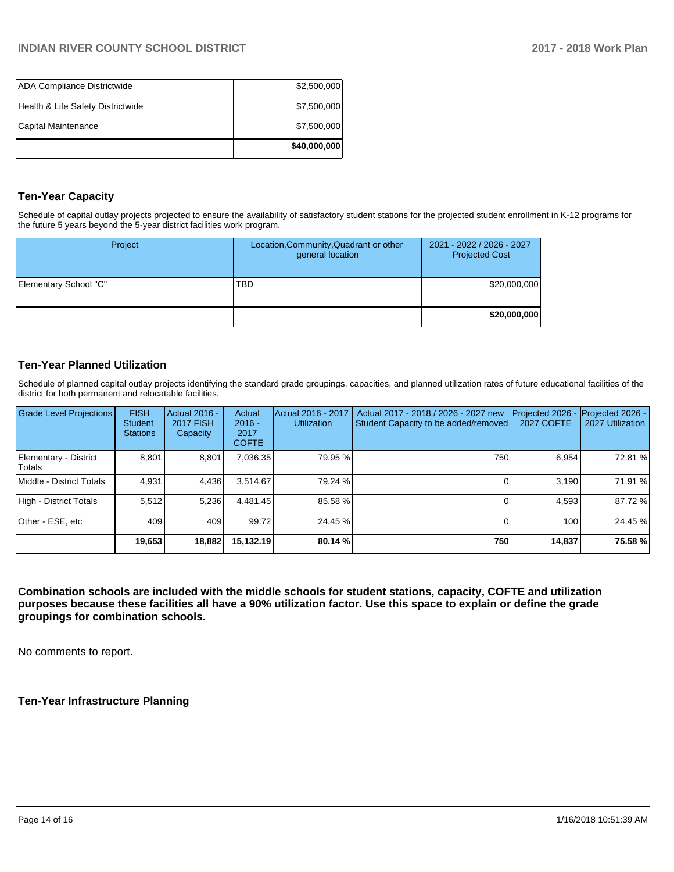| <b>ADA Compliance Districtwide</b> | \$2,500,000  |
|------------------------------------|--------------|
| Health & Life Safety Districtwide  | \$7,500,000  |
| Capital Maintenance                | \$7,500,000  |
|                                    | \$40,000,000 |

## **Ten-Year Capacity**

Schedule of capital outlay projects projected to ensure the availability of satisfactory student stations for the projected student enrollment in K-12 programs for the future 5 years beyond the 5-year district facilities work program.

| Project               | Location, Community, Quadrant or other<br>general location | 2021 - 2022 / 2026 - 2027<br><b>Projected Cost</b> |
|-----------------------|------------------------------------------------------------|----------------------------------------------------|
| Elementary School "C" | TBD                                                        | \$20,000,000                                       |
|                       |                                                            | \$20,000,000                                       |

## **Ten-Year Planned Utilization**

Schedule of planned capital outlay projects identifying the standard grade groupings, capacities, and planned utilization rates of future educational facilities of the district for both permanent and relocatable facilities.

| Grade Level Projections         | <b>FISH</b><br><b>Student</b><br><b>Stations</b> | Actual 2016 -<br><b>2017 FISH</b><br>Capacity | Actual<br>$2016 -$<br>2017<br><b>COFTE</b> | Actual 2016 - 2017<br><b>Utilization</b> | Actual 2017 - 2018 / 2026 - 2027 new<br>Student Capacity to be added/removed | Projected 2026<br><b>2027 COFTE</b> | Projected 2026 -<br>2027 Utilization |
|---------------------------------|--------------------------------------------------|-----------------------------------------------|--------------------------------------------|------------------------------------------|------------------------------------------------------------------------------|-------------------------------------|--------------------------------------|
| Elementary - District<br>Totals | 8,801                                            | 8,801                                         | 7,036.35                                   | 79.95 %                                  | 750                                                                          | 6.954                               | 72.81 %                              |
| Middle - District Totals        | 4.931                                            | 4,436                                         | 3.514.67                                   | 79.24 %                                  |                                                                              | 3.190                               | 71.91 %                              |
| High - District Totals          | 5.512                                            | 5,236                                         | 4.481.45                                   | 85.58 %                                  |                                                                              | 4.593                               | 87.72 %                              |
| Other - ESE, etc                | 409                                              | 409                                           | 99.72                                      | 24.45 %                                  |                                                                              | 100                                 | 24.45 %                              |
|                                 | 19,653                                           | 18,882                                        | 15.132.19                                  | 80.14 %                                  | 750                                                                          | 14,837                              | 75.58 %                              |

**Combination schools are included with the middle schools for student stations, capacity, COFTE and utilization purposes because these facilities all have a 90% utilization factor. Use this space to explain or define the grade groupings for combination schools.** 

No comments to report.

**Ten-Year Infrastructure Planning**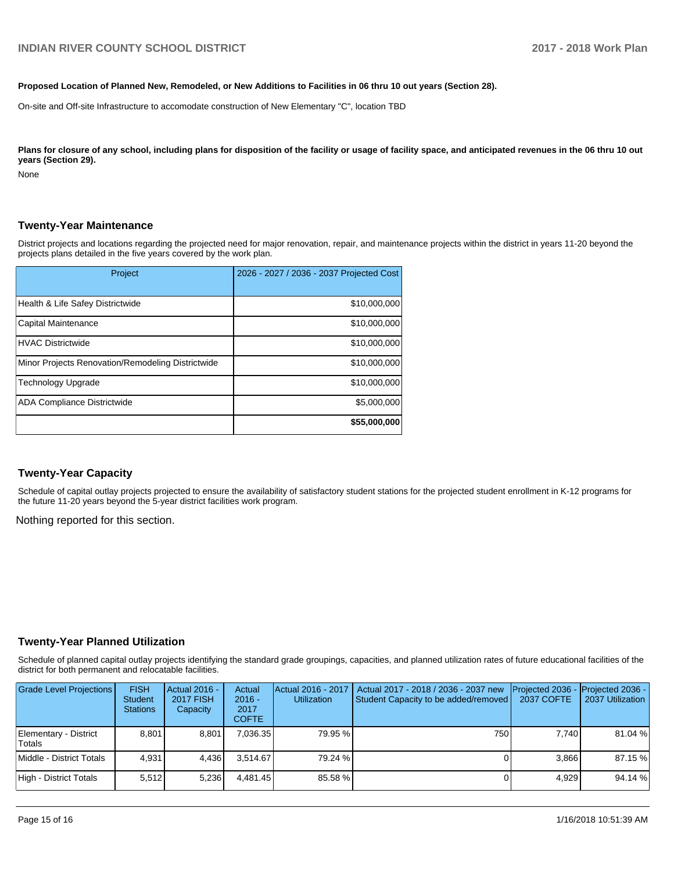#### **Proposed Location of Planned New, Remodeled, or New Additions to Facilities in 06 thru 10 out years (Section 28).**

On-site and Off-site Infrastructure to accomodate construction of New Elementary "C", location TBD

Plans for closure of any school, including plans for disposition of the facility or usage of facility space, and anticipated revenues in the 06 thru 10 out **years (Section 29).**

None

#### **Twenty-Year Maintenance**

District projects and locations regarding the projected need for major renovation, repair, and maintenance projects within the district in years 11-20 beyond the projects plans detailed in the five years covered by the work plan.

| Project                                           | 2026 - 2027 / 2036 - 2037 Projected Cost |
|---------------------------------------------------|------------------------------------------|
| Health & Life Safey Districtwide                  | \$10,000,000                             |
| Capital Maintenance                               | \$10,000,000                             |
| <b>HVAC Districtwide</b>                          | \$10,000,000                             |
| Minor Projects Renovation/Remodeling Districtwide | \$10,000,000                             |
| <b>Technology Upgrade</b>                         | \$10,000,000                             |
| <b>ADA Compliance Districtwide</b>                | \$5,000,000                              |
|                                                   | \$55,000,000                             |

#### **Twenty-Year Capacity**

Schedule of capital outlay projects projected to ensure the availability of satisfactory student stations for the projected student enrollment in K-12 programs for the future 11-20 years beyond the 5-year district facilities work program.

Nothing reported for this section.

#### **Twenty-Year Planned Utilization**

Schedule of planned capital outlay projects identifying the standard grade groupings, capacities, and planned utilization rates of future educational facilities of the district for both permanent and relocatable facilities.

| <b>Grade Level Projections</b>  | <b>FISH</b><br><b>Student</b><br><b>Stations</b> | Actual 2016 -<br><b>2017 FISH</b><br>Capacity | Actual<br>$2016 -$<br>2017<br><b>COFTE</b> | Actual 2016 - 2017<br><b>Utilization</b> | Actual 2017 - 2018 / 2036 - 2037 new<br>Student Capacity to be added/removed | Projected 2036 -<br><b>2037 COFTE</b> | Projected 2036 -<br>2037 Utilization |
|---------------------------------|--------------------------------------------------|-----------------------------------------------|--------------------------------------------|------------------------------------------|------------------------------------------------------------------------------|---------------------------------------|--------------------------------------|
| Elementary - District<br>Totals | 8.801                                            | 8.801                                         | 7.036.35                                   | 79.95 %                                  | 750                                                                          | 7.740                                 | 81.04 %                              |
| Middle - District Totals        | 4.931                                            | 4.436                                         | 3.514.67                                   | 79.24 %                                  |                                                                              | 3.866                                 | 87.15 %                              |
| High - District Totals          | 5.512                                            | 5.236                                         | 4.481.45                                   | 85.58 %                                  |                                                                              | 4.929                                 | 94.14 %                              |